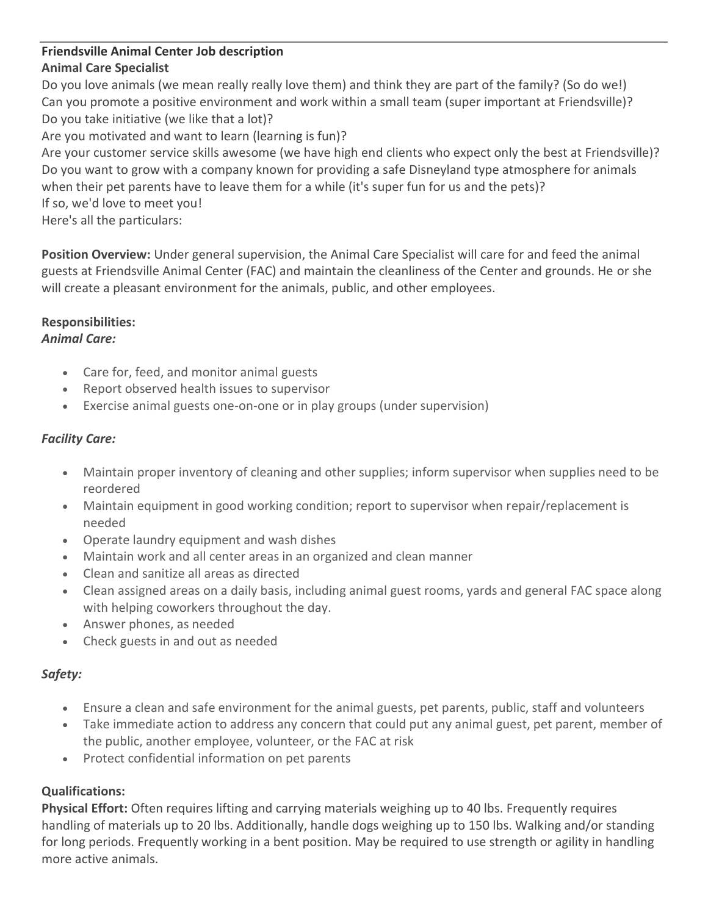#### **Friendsville Animal Center Job description Animal Care Specialist**

Do you love animals (we mean really really love them) and think they are part of the family? (So do we!) Can you promote a positive environment and work within a small team (super important at Friendsville)? Do you take initiative (we like that a lot)?

Are you motivated and want to learn (learning is fun)?

Are your customer service skills awesome (we have high end clients who expect only the best at Friendsville)? Do you want to grow with a company known for providing a safe Disneyland type atmosphere for animals when their pet parents have to leave them for a while (it's super fun for us and the pets)? If so, we'd love to meet you!

Here's all the particulars:

**Position Overview:** Under general supervision, the Animal Care Specialist will care for and feed the animal guests at Friendsville Animal Center (FAC) and maintain the cleanliness of the Center and grounds. He or she will create a pleasant environment for the animals, public, and other employees.

# **Responsibilities:**

#### *Animal Care:*

- Care for, feed, and monitor animal guests
- Report observed health issues to supervisor
- Exercise animal guests one-on-one or in play groups (under supervision)

## *Facility Care:*

- Maintain proper inventory of cleaning and other supplies; inform supervisor when supplies need to be reordered
- Maintain equipment in good working condition; report to supervisor when repair/replacement is needed
- Operate laundry equipment and wash dishes
- Maintain work and all center areas in an organized and clean manner
- Clean and sanitize all areas as directed
- Clean assigned areas on a daily basis, including animal guest rooms, yards and general FAC space along with helping coworkers throughout the day.
- Answer phones, as needed
- Check guests in and out as needed

## *Safety:*

- Ensure a clean and safe environment for the animal guests, pet parents, public, staff and volunteers
- Take immediate action to address any concern that could put any animal guest, pet parent, member of the public, another employee, volunteer, or the FAC at risk
- Protect confidential information on pet parents

## **Qualifications:**

**Physical Effort:** Often requires lifting and carrying materials weighing up to 40 lbs. Frequently requires handling of materials up to 20 lbs. Additionally, handle dogs weighing up to 150 lbs. Walking and/or standing for long periods. Frequently working in a bent position. May be required to use strength or agility in handling more active animals.